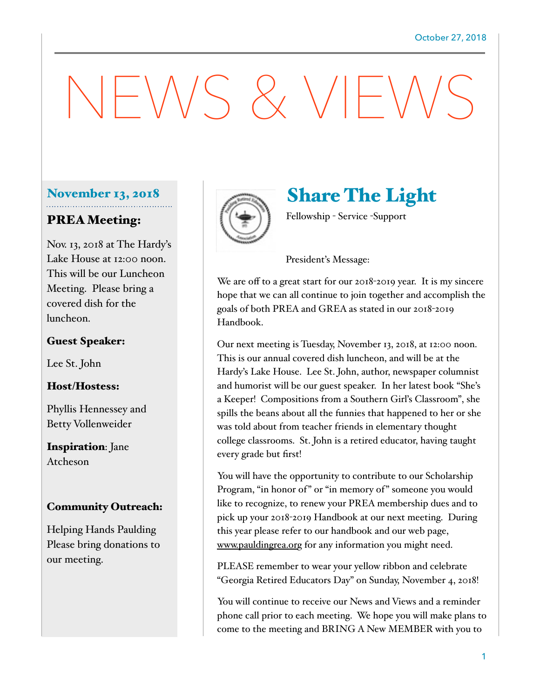# NEWS & VIEWS

## November 13, 2018

## PREA Meeting:

Nov. 13, 2018 at The Hardy's Lake House at 12:00 noon. This will be our Luncheon Meeting. Please bring a covered dish for the luncheon.

#### Guest Speaker:

Lee St. John

#### Host/Hostess:

Phyllis Hennessey and Betty Vollenweider

Inspiration: Jane Atcheson

#### Community Outreach:

Helping Hands Paulding Please bring donations to our meeting.



# Share The Light

Fellowship - Service -Support

#### President's Message:

We are off to a great start for our 2018-2019 year. It is my sincere hope that we can all continue to join together and accomplish the goals of both PREA and GREA as stated in our 2018-2019 Handbook.

Our next meeting is Tuesday, November 13, 2018, at 12:00 noon. This is our annual covered dish luncheon, and will be at the Hardy's Lake House. Lee St. John, author, newspaper columnist and humorist will be our guest speaker. In her latest book "She's a Keeper! Compositions from a Southern Girl's Classroom", she spills the beans about all the funnies that happened to her or she was told about from teacher friends in elementary thought college classrooms. St. John is a retired educator, having taught every grade but first!

You will have the opportunity to contribute to our Scholarship Program, "in honor of" or "in memory of" someone you would like to recognize, to renew your PREA membership dues and to pick up your 2018-2019 Handbook at our next meeting. During this year please refer to our handbook and our web page, [www.pauldingrea.or](http://www.pauldingrea.or)g for any information you might need.

PLEASE remember to wear your yellow ribbon and celebrate "Georgia Retired Educators Day" on Sunday, November 4, 2018!

You will continue to receive our News and Views and a reminder phone call prior to each meeting. We hope you will make plans to come to the meeting and BRING A New MEMBER with you to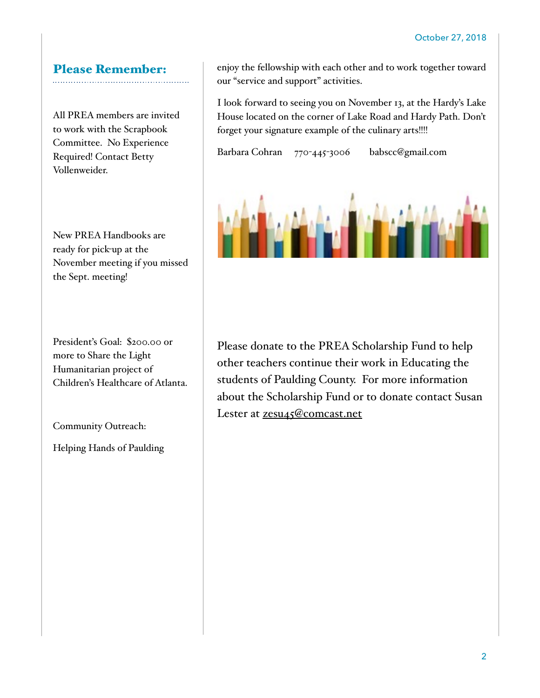# Please Remember:

All PREA members are invited to work with the Scrapbook Committee. No Experience Required! Contact Betty Vollenweider.

New PREA Handbooks are ready for pick-up at the November meeting if you missed the Sept. meeting!

President's Goal: \$200.00 or more to Share the Light Humanitarian project of Children's Healthcare of Atlanta.

Community Outreach:

Helping Hands of Paulding

enjoy the fellowship with each other and to work together toward our "service and support" activities.

I look forward to seeing you on November 13, at the Hardy's Lake House located on the corner of Lake Road and Hardy Path. Don't forget your signature example of the culinary arts!!!!

Barbara Cohran 770-445-3006 babscc@gmail.com



Please donate to the PREA Scholarship Fund to help other teachers continue their work in Educating the students of Paulding County. For more information about the Scholarship Fund or to donate contact Susan Lester at [zesu45@comcast.net](mailto:zesu45@comcast.net)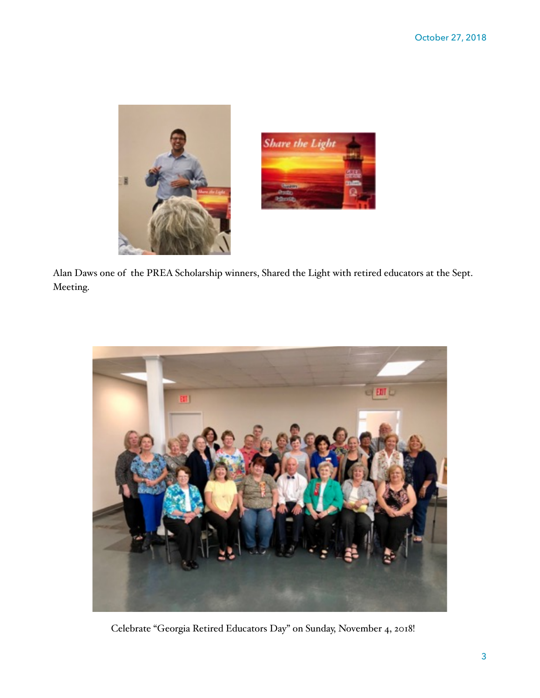



Alan Daws one of the PREA Scholarship winners, Shared the Light with retired educators at the Sept. Meeting.



Celebrate "Georgia Retired Educators Day" on Sunday, November 4, 2018!